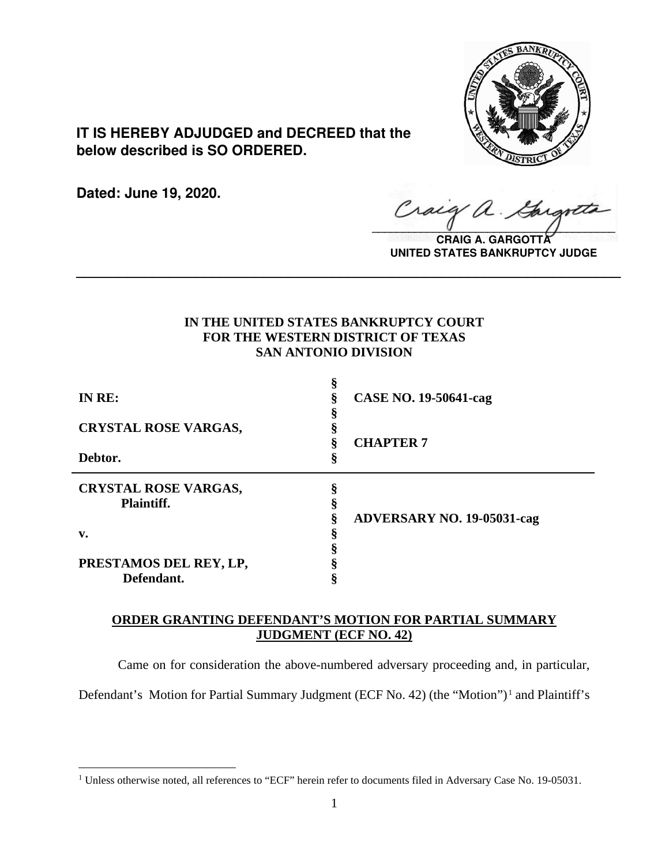

**IT IS HEREBY ADJUDGED and DECREED that the below described is SO ORDERED.**

**Dated: June 19, 2020.**

Craig a.  $\sqrt{2}$ 

**CRAIG A. GARGOTT UNITED STATES BANKRUPTCY JUDGE**

# **IN THE UNITED STATES BANKRUPTCY COURT FOR THE WESTERN DISTRICT OF TEXAS SAN ANTONIO DIVISION**

**\_\_\_\_\_\_\_\_\_\_\_\_\_\_\_\_\_\_\_\_\_\_\_\_\_\_\_\_\_\_\_\_\_\_\_\_\_\_\_\_\_\_\_\_\_\_\_\_\_\_\_\_\_\_\_\_\_\_\_\_\_\_\_\_**

| IN RE:                      | <b>CASE NO. 19-50641-cag</b>      |  |
|-----------------------------|-----------------------------------|--|
| <b>CRYSTAL ROSE VARGAS,</b> | <b>CHAPTER 7</b>                  |  |
| Debtor.                     | 8                                 |  |
| <b>CRYSTAL ROSE VARGAS,</b> |                                   |  |
| <b>Plaintiff.</b>           |                                   |  |
|                             | <b>ADVERSARY NO. 19-05031-cag</b> |  |
| v.                          |                                   |  |
|                             |                                   |  |
| PRESTAMOS DEL REY, LP,      |                                   |  |
| Defendant.                  |                                   |  |

# **ORDER GRANTING DEFENDANT'S MOTION FOR PARTIAL SUMMARY JUDGMENT (ECF NO. 42)**

Came on for consideration the above-numbered adversary proceeding and, in particular,

Defendant's Motion for Partial Summary Judgment (ECF No. 42) (the "Motion").<sup>1</sup> and Plaintiff's

<sup>&</sup>lt;sup>1</sup> Unless otherwise noted, all references to "ECF" herein refer to documents filed in Adversary Case No. 19-05031.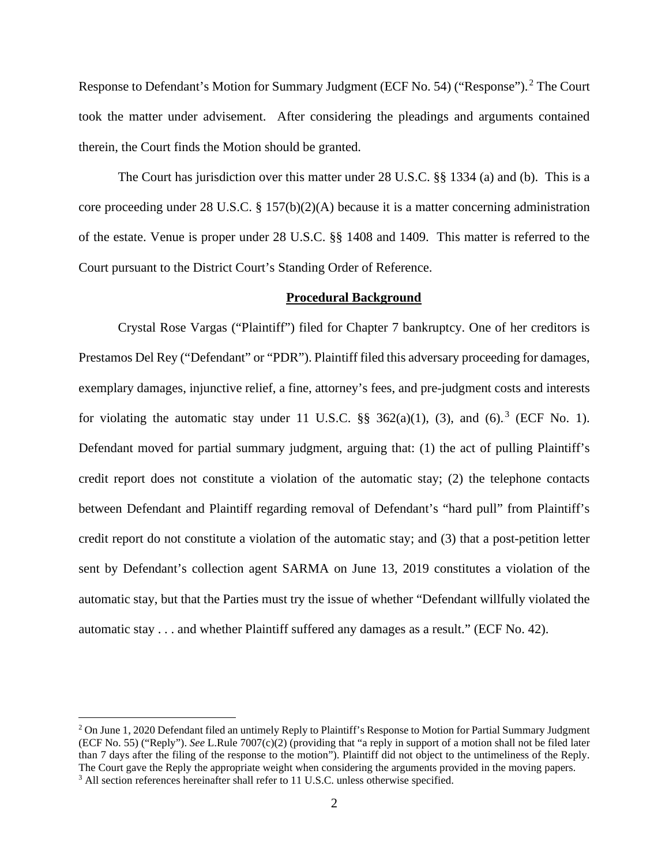Response to Defendant's Motion for Summary Judgment (ECF No. 54) ("Response").<sup>2</sup> The Court took the matter under advisement. After considering the pleadings and arguments contained therein, the Court finds the Motion should be granted.

The Court has jurisdiction over this matter under 28 U.S.C. §§ 1334 (a) and (b). This is a core proceeding under 28 U.S.C. § 157(b)(2)(A) because it is a matter concerning administration of the estate. Venue is proper under 28 U.S.C. §§ 1408 and 1409. This matter is referred to the Court pursuant to the District Court's Standing Order of Reference.

### **Procedural Background**

Crystal Rose Vargas ("Plaintiff") filed for Chapter 7 bankruptcy. One of her creditors is Prestamos Del Rey ("Defendant" or "PDR"). Plaintiff filed this adversary proceeding for damages, exemplary damages, injunctive relief, a fine, attorney's fees, and pre-judgment costs and interests for violating the automatic stay under 11 U.S.C.  $\S$ § 362(a)(1), (3), and (6).<sup>3</sup> (ECF No. 1). Defendant moved for partial summary judgment, arguing that: (1) the act of pulling Plaintiff's credit report does not constitute a violation of the automatic stay; (2) the telephone contacts between Defendant and Plaintiff regarding removal of Defendant's "hard pull" from Plaintiff's credit report do not constitute a violation of the automatic stay; and (3) that a post-petition letter sent by Defendant's collection agent SARMA on June 13, 2019 constitutes a violation of the automatic stay, but that the Parties must try the issue of whether "Defendant willfully violated the automatic stay . . . and whether Plaintiff suffered any damages as a result." (ECF No. 42).

 $2$  On June 1, 2020 Defendant filed an untimely Reply to Plaintiff's Response to Motion for Partial Summary Judgment (ECF No. 55) ("Reply"). *See* L.Rule 7007(c)(2) (providing that "a reply in support of a motion shall not be filed later than 7 days after the filing of the response to the motion"). Plaintiff did not object to the untimeliness of the Reply. The Court gave the Reply the appropriate weight when considering the arguments provided in the moving papers. 3 All section references hereinafter shall refer to 11 U.S.C. unless otherwise specified.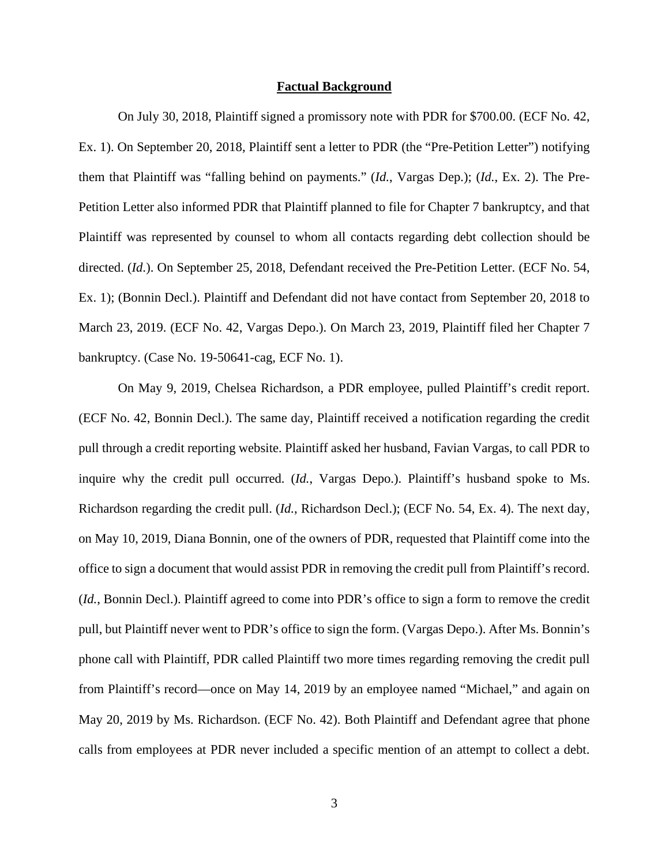### **Factual Background**

On July 30, 2018, Plaintiff signed a promissory note with PDR for \$700.00. (ECF No. 42, Ex. 1). On September 20, 2018, Plaintiff sent a letter to PDR (the "Pre-Petition Letter") notifying them that Plaintiff was "falling behind on payments." (*Id.*, Vargas Dep.); (*Id.*, Ex. 2). The Pre-Petition Letter also informed PDR that Plaintiff planned to file for Chapter 7 bankruptcy, and that Plaintiff was represented by counsel to whom all contacts regarding debt collection should be directed. (*Id*.). On September 25, 2018, Defendant received the Pre-Petition Letter. (ECF No. 54, Ex. 1); (Bonnin Decl.). Plaintiff and Defendant did not have contact from September 20, 2018 to March 23, 2019. (ECF No. 42, Vargas Depo.). On March 23, 2019, Plaintiff filed her Chapter 7 bankruptcy. (Case No. 19-50641-cag, ECF No. 1).

On May 9, 2019, Chelsea Richardson, a PDR employee, pulled Plaintiff's credit report. (ECF No. 42, Bonnin Decl.). The same day, Plaintiff received a notification regarding the credit pull through a credit reporting website. Plaintiff asked her husband, Favian Vargas, to call PDR to inquire why the credit pull occurred. (*Id.*, Vargas Depo.). Plaintiff's husband spoke to Ms. Richardson regarding the credit pull. (*Id.*, Richardson Decl.); (ECF No. 54, Ex. 4). The next day, on May 10, 2019, Diana Bonnin, one of the owners of PDR, requested that Plaintiff come into the office to sign a document that would assist PDR in removing the credit pull from Plaintiff's record. (*Id.*, Bonnin Decl.). Plaintiff agreed to come into PDR's office to sign a form to remove the credit pull, but Plaintiff never went to PDR's office to sign the form. (Vargas Depo.). After Ms. Bonnin's phone call with Plaintiff, PDR called Plaintiff two more times regarding removing the credit pull from Plaintiff's record—once on May 14, 2019 by an employee named "Michael," and again on May 20, 2019 by Ms. Richardson. (ECF No. 42). Both Plaintiff and Defendant agree that phone calls from employees at PDR never included a specific mention of an attempt to collect a debt.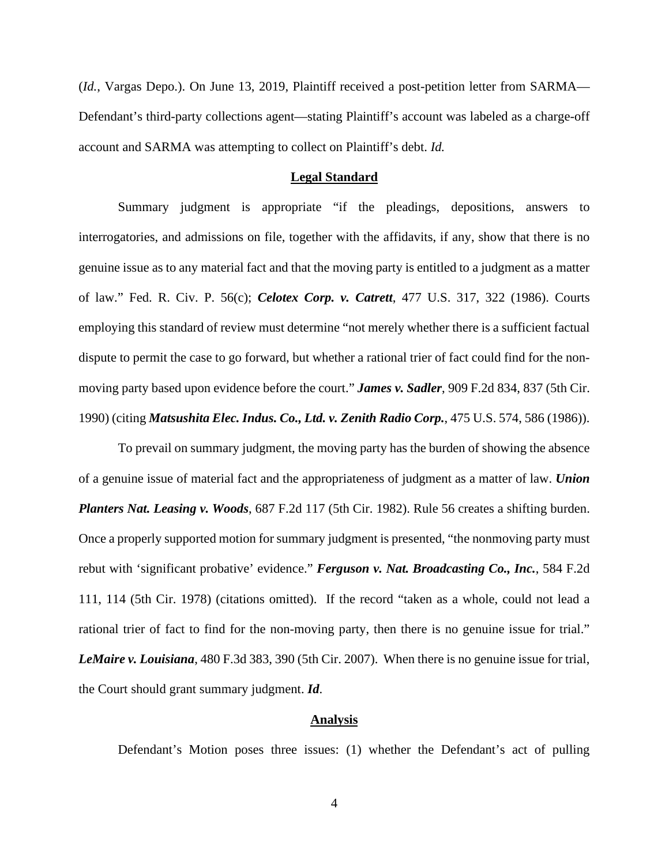(*Id.*, Vargas Depo.). On June 13, 2019, Plaintiff received a post-petition letter from SARMA— Defendant's third-party collections agent—stating Plaintiff's account was labeled as a charge-off account and SARMA was attempting to collect on Plaintiff's debt. *Id.*

### **Legal Standard**

Summary judgment is appropriate "if the pleadings, depositions, answers to interrogatories, and admissions on file, together with the affidavits, if any, show that there is no genuine issue as to any material fact and that the moving party is entitled to a judgment as a matter of law." Fed. R. Civ. P. 56(c); *Celotex Corp. v. Catrett*, 477 U.S. 317, 322 (1986). Courts employing this standard of review must determine "not merely whether there is a sufficient factual dispute to permit the case to go forward, but whether a rational trier of fact could find for the nonmoving party based upon evidence before the court." *James v. Sadler*, 909 F.2d 834, 837 (5th Cir. 1990) (citing *Matsushita Elec. Indus. Co., Ltd. v. Zenith Radio Corp.*, 475 U.S. 574, 586 (1986)).

To prevail on summary judgment, the moving party has the burden of showing the absence of a genuine issue of material fact and the appropriateness of judgment as a matter of law. *Union Planters Nat. Leasing v. Woods*, 687 F.2d 117 (5th Cir. 1982). Rule 56 creates a shifting burden. Once a properly supported motion for summary judgment is presented, "the nonmoving party must rebut with 'significant probative' evidence." *Ferguson v. Nat. Broadcasting Co., Inc.*, 584 F.2d 111, 114 (5th Cir. 1978) (citations omitted). If the record "taken as a whole, could not lead a rational trier of fact to find for the non-moving party, then there is no genuine issue for trial." *LeMaire v. Louisiana*, 480 F.3d 383, 390 (5th Cir. 2007). When there is no genuine issue for trial, the Court should grant summary judgment. *Id*.

### **Analysis**

Defendant's Motion poses three issues: (1) whether the Defendant's act of pulling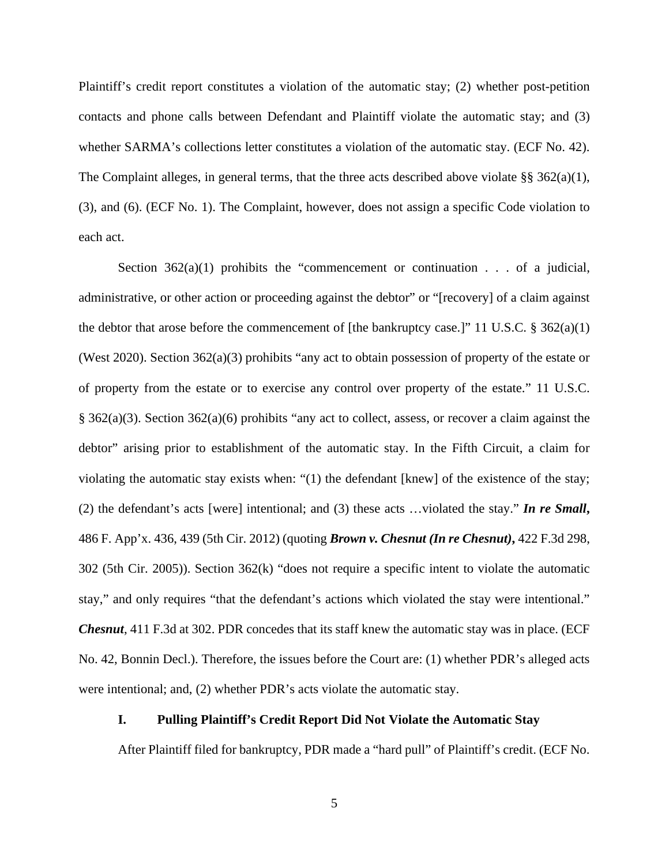Plaintiff's credit report constitutes a violation of the automatic stay; (2) whether post-petition contacts and phone calls between Defendant and Plaintiff violate the automatic stay; and (3) whether SARMA's collections letter constitutes a violation of the automatic stay. (ECF No. 42). The Complaint alleges, in general terms, that the three acts described above violate  $\S$ § 362(a)(1), (3), and (6). (ECF No. 1). The Complaint, however, does not assign a specific Code violation to each act.

Section  $362(a)(1)$  prohibits the "commencement or continuation . . . of a judicial, administrative, or other action or proceeding against the debtor" or "[recovery] of a claim against the debtor that arose before the commencement of [the bankruptcy case.]" 11 U.S.C.  $\S 362(a)(1)$ (West 2020). Section 362(a)(3) prohibits "any act to obtain possession of property of the estate or of property from the estate or to exercise any control over property of the estate." 11 U.S.C. § 362(a)(3). Section 362(a)(6) prohibits "any act to collect, assess, or recover a claim against the debtor" arising prior to establishment of the automatic stay. In the Fifth Circuit, a claim for violating the automatic stay exists when: " $(1)$  the defendant [knew] of the existence of the stay; (2) the defendant's acts [were] intentional; and (3) these acts …violated the stay." *In re Small***,**  486 F. App'x. 436, 439 (5th Cir. 2012) (quoting *Brown v. Chesnut (In re Chesnut)***,** 422 F.3d 298, 302 (5th Cir. 2005)). Section 362(k) "does not require a specific intent to violate the automatic stay," and only requires "that the defendant's actions which violated the stay were intentional." *Chesnut*, 411 F.3d at 302. PDR concedes that its staff knew the automatic stay was in place. (ECF No. 42, Bonnin Decl.). Therefore, the issues before the Court are: (1) whether PDR's alleged acts were intentional; and, (2) whether PDR's acts violate the automatic stay.

## **I. Pulling Plaintiff's Credit Report Did Not Violate the Automatic Stay**

After Plaintiff filed for bankruptcy, PDR made a "hard pull" of Plaintiff's credit. (ECF No.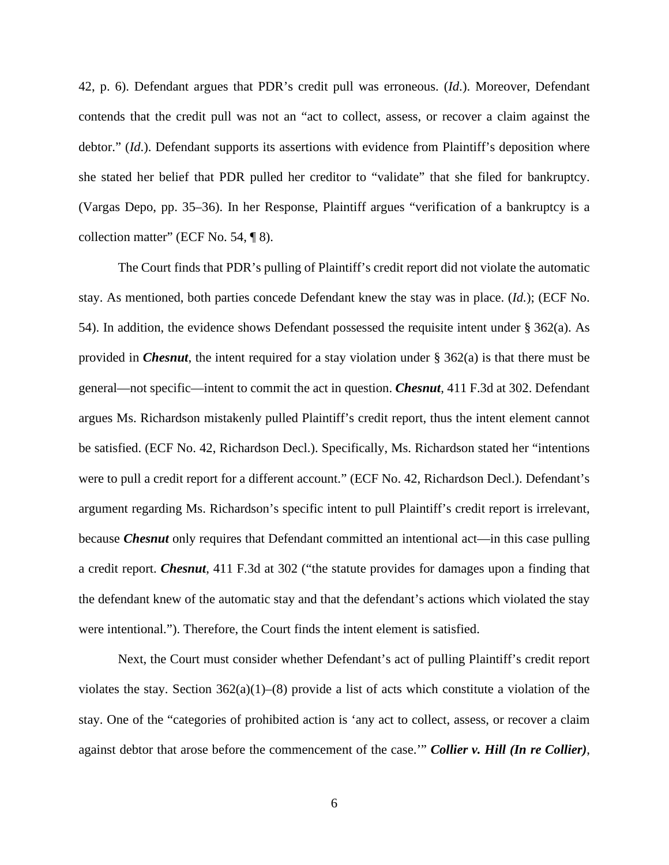42, p. 6). Defendant argues that PDR's credit pull was erroneous. (*Id*.). Moreover, Defendant contends that the credit pull was not an "act to collect, assess, or recover a claim against the debtor." (*Id.*). Defendant supports its assertions with evidence from Plaintiff's deposition where she stated her belief that PDR pulled her creditor to "validate" that she filed for bankruptcy. (Vargas Depo, pp. 35–36). In her Response, Plaintiff argues "verification of a bankruptcy is a collection matter" (ECF No. 54, ¶ 8).

The Court finds that PDR's pulling of Plaintiff's credit report did not violate the automatic stay. As mentioned, both parties concede Defendant knew the stay was in place. (*Id.*); (ECF No. 54). In addition, the evidence shows Defendant possessed the requisite intent under § 362(a). As provided in *Chesnut*, the intent required for a stay violation under § 362(a) is that there must be general—not specific—intent to commit the act in question. *Chesnut*, 411 F.3d at 302. Defendant argues Ms. Richardson mistakenly pulled Plaintiff's credit report, thus the intent element cannot be satisfied. (ECF No. 42, Richardson Decl.). Specifically, Ms. Richardson stated her "intentions were to pull a credit report for a different account." (ECF No. 42, Richardson Decl.). Defendant's argument regarding Ms. Richardson's specific intent to pull Plaintiff's credit report is irrelevant, because *Chesnut* only requires that Defendant committed an intentional act—in this case pulling a credit report. *Chesnut*, 411 F.3d at 302 ("the statute provides for damages upon a finding that the defendant knew of the automatic stay and that the defendant's actions which violated the stay were intentional."). Therefore, the Court finds the intent element is satisfied.

Next, the Court must consider whether Defendant's act of pulling Plaintiff's credit report violates the stay. Section  $362(a)(1)–(8)$  provide a list of acts which constitute a violation of the stay. One of the "categories of prohibited action is 'any act to collect, assess, or recover a claim against debtor that arose before the commencement of the case.'" *Collier v. Hill (In re Collier)*,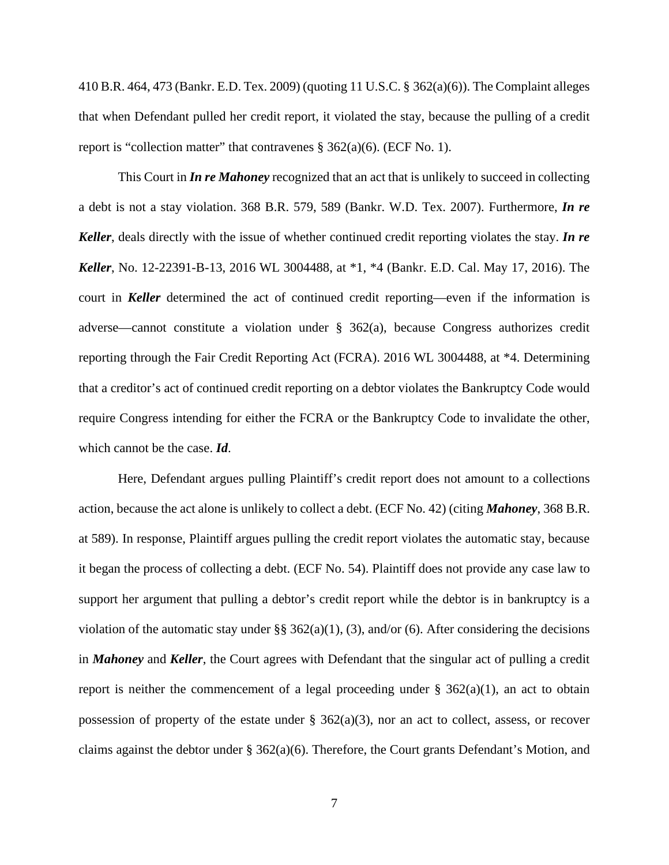410 B.R. 464, 473 (Bankr. E.D. Tex. 2009) (quoting 11 U.S.C. § 362(a)(6)). The Complaint alleges that when Defendant pulled her credit report, it violated the stay, because the pulling of a credit report is "collection matter" that contravenes  $\S$  362(a)(6). (ECF No. 1).

This Court in *In re Mahoney* recognized that an act that is unlikely to succeed in collecting a debt is not a stay violation. 368 B.R. 579, 589 (Bankr. W.D. Tex. 2007). Furthermore, *In re Keller*, deals directly with the issue of whether continued credit reporting violates the stay. *In re Keller*, No. 12-22391-B-13, 2016 WL 3004488, at \*1, \*4 (Bankr. E.D. Cal. May 17, 2016). The court in *Keller* determined the act of continued credit reporting—even if the information is adverse—cannot constitute a violation under § 362(a), because Congress authorizes credit reporting through the Fair Credit Reporting Act (FCRA). 2016 WL 3004488, at \*4. Determining that a creditor's act of continued credit reporting on a debtor violates the Bankruptcy Code would require Congress intending for either the FCRA or the Bankruptcy Code to invalidate the other, which cannot be the case. *Id*.

Here, Defendant argues pulling Plaintiff's credit report does not amount to a collections action, because the act alone is unlikely to collect a debt. (ECF No. 42) (citing *Mahoney*, 368 B.R. at 589). In response, Plaintiff argues pulling the credit report violates the automatic stay, because it began the process of collecting a debt. (ECF No. 54). Plaintiff does not provide any case law to support her argument that pulling a debtor's credit report while the debtor is in bankruptcy is a violation of the automatic stay under §§  $362(a)(1)$ , (3), and/or (6). After considering the decisions in *Mahoney* and *Keller*, the Court agrees with Defendant that the singular act of pulling a credit report is neither the commencement of a legal proceeding under  $\S$  362(a)(1), an act to obtain possession of property of the estate under  $\S$  362(a)(3), nor an act to collect, assess, or recover claims against the debtor under  $\S$  362(a)(6). Therefore, the Court grants Defendant's Motion, and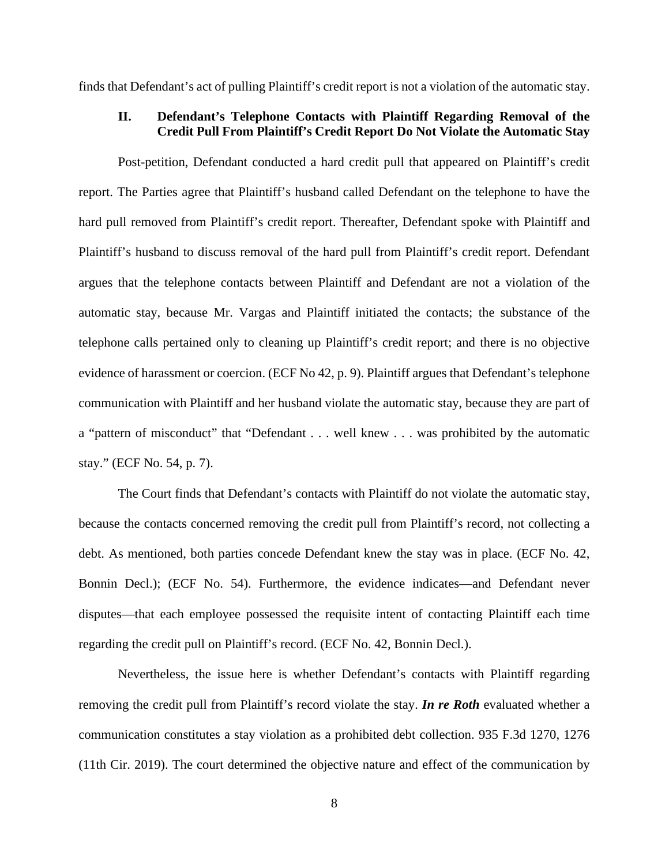finds that Defendant's act of pulling Plaintiff's credit report is not a violation of the automatic stay.

## **II. Defendant's Telephone Contacts with Plaintiff Regarding Removal of the Credit Pull From Plaintiff's Credit Report Do Not Violate the Automatic Stay**

Post-petition, Defendant conducted a hard credit pull that appeared on Plaintiff's credit report. The Parties agree that Plaintiff's husband called Defendant on the telephone to have the hard pull removed from Plaintiff's credit report. Thereafter, Defendant spoke with Plaintiff and Plaintiff's husband to discuss removal of the hard pull from Plaintiff's credit report. Defendant argues that the telephone contacts between Plaintiff and Defendant are not a violation of the automatic stay, because Mr. Vargas and Plaintiff initiated the contacts; the substance of the telephone calls pertained only to cleaning up Plaintiff's credit report; and there is no objective evidence of harassment or coercion. (ECF No 42, p. 9). Plaintiff argues that Defendant's telephone communication with Plaintiff and her husband violate the automatic stay, because they are part of a "pattern of misconduct" that "Defendant . . . well knew . . . was prohibited by the automatic stay." (ECF No. 54, p. 7).

The Court finds that Defendant's contacts with Plaintiff do not violate the automatic stay, because the contacts concerned removing the credit pull from Plaintiff's record, not collecting a debt. As mentioned, both parties concede Defendant knew the stay was in place. (ECF No. 42, Bonnin Decl.); (ECF No. 54). Furthermore, the evidence indicates—and Defendant never disputes—that each employee possessed the requisite intent of contacting Plaintiff each time regarding the credit pull on Plaintiff's record. (ECF No. 42, Bonnin Decl.).

Nevertheless, the issue here is whether Defendant's contacts with Plaintiff regarding removing the credit pull from Plaintiff's record violate the stay. *In re Roth* evaluated whether a communication constitutes a stay violation as a prohibited debt collection. 935 F.3d 1270, 1276 (11th Cir. 2019). The court determined the objective nature and effect of the communication by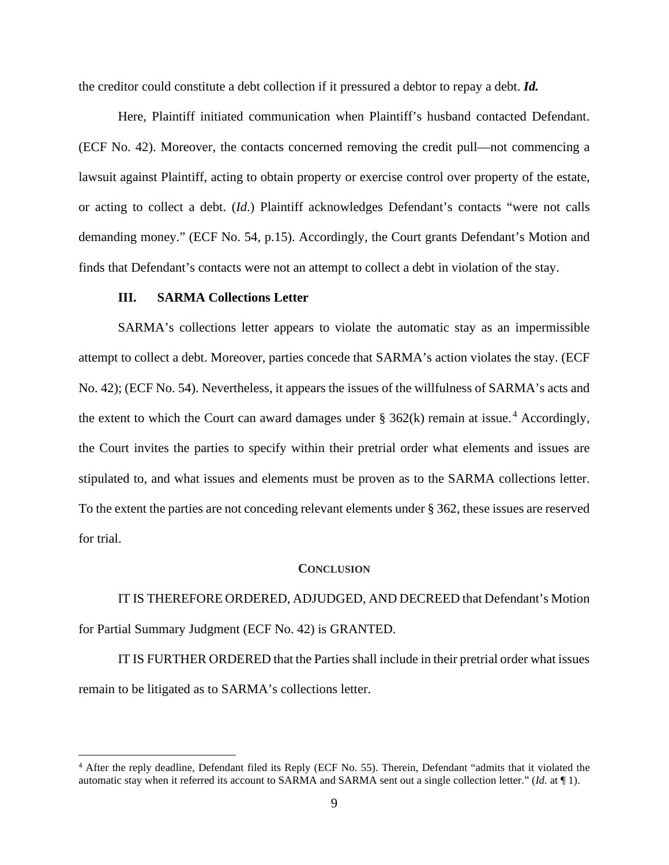the creditor could constitute a debt collection if it pressured a debtor to repay a debt. *Id.* 

Here, Plaintiff initiated communication when Plaintiff's husband contacted Defendant. (ECF No. 42). Moreover, the contacts concerned removing the credit pull—not commencing a lawsuit against Plaintiff, acting to obtain property or exercise control over property of the estate, or acting to collect a debt. (*Id*.) Plaintiff acknowledges Defendant's contacts "were not calls demanding money." (ECF No. 54, p.15). Accordingly, the Court grants Defendant's Motion and finds that Defendant's contacts were not an attempt to collect a debt in violation of the stay.

### **III. SARMA Collections Letter**

SARMA's collections letter appears to violate the automatic stay as an impermissible attempt to collect a debt. Moreover, parties concede that SARMA's action violates the stay. (ECF No. 42); (ECF No. 54). Nevertheless, it appears the issues of the willfulness of SARMA's acts and the extent to which the Court can award damages under  $\S 362(k)$  remain at issue.<sup>4</sup> Accordingly, the Court invites the parties to specify within their pretrial order what elements and issues are stipulated to, and what issues and elements must be proven as to the SARMA collections letter. To the extent the parties are not conceding relevant elements under § 362, these issues are reserved for trial.

### **CONCLUSION**

IT IS THEREFORE ORDERED, ADJUDGED, AND DECREED that Defendant's Motion for Partial Summary Judgment (ECF No. 42) is GRANTED.

IT IS FURTHER ORDERED that the Parties shall include in their pretrial order what issues remain to be litigated as to SARMA's collections letter.

<sup>&</sup>lt;sup>4</sup> After the reply deadline, Defendant filed its Reply (ECF No. 55). Therein, Defendant "admits that it violated the automatic stay when it referred its account to SARMA and SARMA sent out a single collection letter." (*Id.* at ¶ 1).